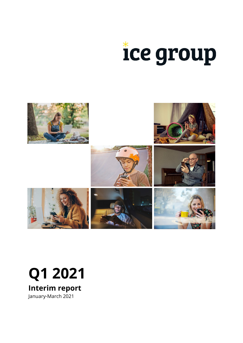



# **Q1 2021**

**Interim report**

January-March 2021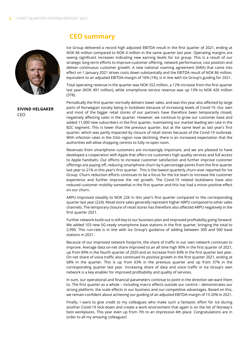

**EIVIND HELGAKER** CEO

# **CEO summary**

Ice Group delivered a record high adjusted EBITDA result in the first quarter of 2021, ending at NOK 86 million compared to NOK 4 million in the same quarter last year. Operating margins are seeing significant increases indicating new earning levels for Ice group. This is a result of our strategic long-term efforts to improve customer offering, network performance, cost position and deliver continuous customer growth. A new national roaming agreement (NRA) that came into effect on 1 January 2021 drives costs down substantially and the EBITDA result of NOK 86 million, equivalent to an adjusted EBITDA-margin of 16% (1%), is in line with Ice Group's guiding for 2021.

Total operating revenue in the quarter was NOK 552 million, a 12% increase from the first quarter last year (NOK 491 million), while smartphone service revenue was up 13% to NOK 426 million (378).

Periodically the first quarter normally delivers lower sales, and was this year also affected by large parts of Norwegian society being in lockdown because of increasing levels of Covid-19. Our own and most of the bigger retail stores of our partners have therefore been temporarily closed, negatively affecting sales in the quarter. However, we continue to grow our customer base and added 11,000 new subscribers in the first quarter, maintaining our market leading win rate in the B2C segment. This is lower than the previous quarter, but at the same level as last year's first quarter, which was partly impacted by closure of retail stores because of the Covid-19 outbreak. With infection rates in the Oslo region now declining, there is an increased expectation that the authorities will allow shopping centres to fully re-open soon.

Revenues from smartphone customers are increasingly important, and we are pleased to have developed a cooperation with Apple that offers Ice customers high quality services and full access to Apple handsets. Our efforts to increase customer satisfaction and further improve customer offerings are paying off, reducing smartphone churn by 6 percentage points from the first quarter last year to 21% in this year's first quarter. This is the lowest quarterly churn ever reported for Ice Group. Churn reduction efforts continues to be a focus for the Ice team to increase the customer experience and further improve the net growth. The Covid-19 related lockdowns have also reduced customer mobility somewhat in the first quarter and this has had a minor positive effect on our churn.

ARPU improved steadily to NOK 226 in this year's first quarter compared to the corresponding quarter last year (224). Retail store sales generally represent higher ARPU compared to other sales channels. The temporary closure of retail stores has therefore also affected ARPU negatively in the first quarter 2021.

Further network build-out is still key to our business plan and improved profitability going forward. We added 103 new 5G-ready smartphone base stations in the first quarter, bringing the total to 2,990. This run-rate is in line with Ice Group's guidance of adding between 300 and 500 base stations in 2021.

Because of our improved network footprint, the share of traffic in our own network continues to improve. Average data on-net share improved to an all time high 90% in the first quarter of 2021, up from 89% in the fourth quarter of 2020 and an increase from 83% in the first quarter last year. On-net share of voice traffic also continued its positive growth in the first quarter 2021, ending at 68% in the quarter. This is up from 63% in the previous quarter and up from 37% in the corresponding quarter last year. Increasing share of data and voice traffic in Ice Group's own network is a key enabler for improved profitability and quality of services.

In sum, our operational and financial parameters continue to point in the direction we want them to. The first quarter as a whole – including macro effects outside our control – demonstrates our strong platform, the scale effects in our business and our competitive advantages. Based on this, we remain confident about achieving our guiding of an adjusted EBITDA-margin of 15-20% in 2021.

Finally, I want to give credit to my colleagues who make such a fantastic effort for Ice during another Covid-19 lock-down and create a work environment that again is on the list of Norway's best workplaces. This year even up from 7th to an impressive 4th place. Congratulations are in order to all my amazing colleagues!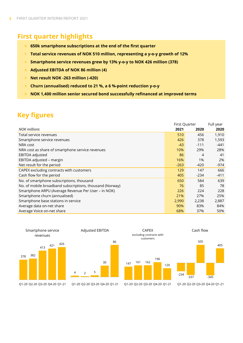# **First quarter highlights**

- **650k smartphone subscriptions at the end of the first quarter**
- **Total service revenues of NOK 510 million, representing a y-o-y growth of 12%**
- **Smartphone service revenues grew by 13% y-o-y to NOK 426 million (378)**  $\frac{1}{2}$
- **Adjusted EBITDA of NOK 86 million (4)**
- **Net result NOK -263 million (-420)**  $\rm{Si}^{\rm{th}}$  .
- **Churn (annualised) reduced to 21 %, a 6 %-point reduction y-o-y**  $\mathbb{R}^+$
- **NOK 1,400 million senior secured bond successfully refinanced at improved terms** 来。

# **Key figures**

|                                                          | First Quarter |        | Full year |
|----------------------------------------------------------|---------------|--------|-----------|
| <b>NOK</b> millions                                      | 2021          | 2020   | 2020      |
| Total service revenues                                   | 510           | 456    | 1,910     |
| Smartphone service revenues                              | 426           | 378    | 1,593     |
| NRA cost                                                 | $-43$         | $-111$ | -441      |
| NRA cost as share of smartphone service revenues         | 10%           | 29%    | 28%       |
| EBITDA adjusted                                          | 86            | 4      | 41        |
| EBITDA adjusted - margin                                 | 16%           | 1%     | 2%        |
| Net result for the period                                | $-263$        | -420   | -974      |
| CAPEX excluding contracts with customers                 | 129           | 147    | 666       |
| Cash flow for the period                                 | 405           | $-234$ | $-411$    |
| No. of smartphone subscriptions, thousand                | 650           | 584    | 639       |
| No. of mobile broadband subscriptions, thousand (Norway) | 76            | 85     | 78        |
| Smartphone ARPU (Average Revenue Per User - in NOK)      | 226           | 224    | 228       |
| Smartphone churn (annualised)                            | 21%           | 27%    | 25%       |
| Smartphone base stations in service                      | 2,990         | 2,238  | 2,887     |
| Average data on-net share                                | 90%           | 83%    | 84%       |
| Average Voice on-net share                               | 68%           | 37%    | 50%       |

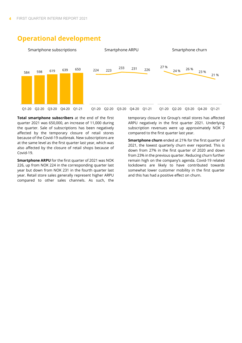

# **Operational development**

**Total smartphone subscribers** at the end of the first quarter 2021 was 650,000, an increase of 11,000 during the quarter. Sale of subscriptions has been negatively affected by the temporary closure of retail stores because of the Covid-19 outbreak. New subscriptions are at the same level as the first quarter last year, which was also affected by the closure of retail shops because of Covid-19.

**Smartphone ARPU** for the first quarter of 2021 was NOK 226, up from NOK 224 in the corresponding quarter last year but down from NOK 231 in the fourth quarter last year. Retail store sales generally represent higher ARPU compared to other sales channels. As such, the

temporary closure Ice Group's retail stores has affected ARPU negatively in the first quarter 2021. Underlying subscription revenues were up approximately NOK 7 compared to the first quarter last year.

**Smartphone churn** ended at 21% for the first quarter of 2021, the lowest quarterly churn ever reported. This is down from 27% in the first quarter of 2020 and down from 23% in the previous quarter. Reducing churn further remain high on the company's agenda. Covid-19 related lockdowns are likely to have contributed towards somewhat lower customer mobility in the first quarter and this has had a positive effect on churn.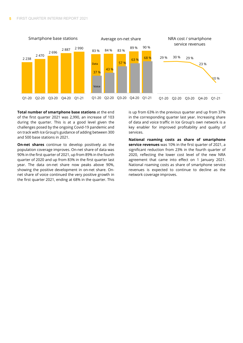

**Total number of smartphone base stations** at the end of the first quarter 2021 was 2,990, an increase of 103 during the quarter. This is at a good level given the challenges posed by the ongoing Covid-19 pandemic and on track with Ice Group's guidance of adding between 300 and 500 base stations in 2021.

**On-net shares** continue to develop positively as the population coverage improves. On-net share of data was 90% in the first quarter of 2021, up from 89% in the fourth quarter of 2020 and up from 83% in the first quarter last year. The data on-net share now peaks above 90%, showing the positive development in on-net share. Onnet share of voice continued the very positive growth in the first quarter 2021, ending at 68% in the quarter. This is up from 63% in the previous quarter and up from 37% in the corresponding quarter last year. Increasing share of data and voice traffic in Ice Group's own network is a key enabler for improved profitability and quality of services.

**National roaming costs as share of smartphone service revenues** was 10% in the first quarter of 2021, a significant reduction from 23% in the fourth quarter of 2020, reflecting the lower cost level of the new NRA agreement that came into effect on 1 January 2021. National roaming costs as share of smartphone service revenues is expected to continue to decline as the network coverage improves.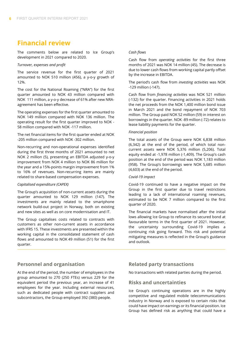# **Financial review**

The comments below are related to Ice Group's development in 2021 compared to 2020.

#### *Turnover, expenses and profit*

The service revenue for the first quarter of 2021 amounted to NOK 510 million (456), a y-o-y growth of 12%.

The cost for the National Roaming ("NRA") for the first quarter amounted to NOK 43 million compared with NOK 111 million, a y-o-y decrease of 61% after new NRAagreement has been effective.

The operating expenses for the first quarter amounted to NOK 149 million compared with NOK 136 million. The operating result for the first quarter improved to NOK - 58 million compared with NOK -117 million.

The net financial items for the first quarter ended at NOK -205 million compared with NOK -302 million.

Non-recurring and non-operational expenses identified during the first three months of 2021 amounted to net NOK 2 million (5), presenting an EBITDA adjusted y-o-y improvement from NOK 4 million to NOK 86 million for the year and a 15%-points margin improvement from 1% to 16% of revenues. Non-recurring items are mainly related to share-based compensation expenses.

#### *Capitalised expenditure (CAPEX)*

The Group's acquisition of non-current assets during the quarter amounted to NOK 129 million (147). The investments are mainly related to the smartphone network build-out project in Norway, both on existing and new sites as well as on core modernisation and IT.

The Group capitalises costs related to contracts with customers as other non-current assets in accordance with IFRS 15. These investments are presented within the working capital in the consolidated statement of cash flows and amounted to NOK 49 million (51) for the first quarter.

#### *Cash flows*

Cash flow from *operating activities* for the first three months of 2021 was NOK 14 million (45). The decrease is due to lower cash flows from working capital partly offset by the increase in EBITDA.

The period's cash flow from *investing activities* was NOK -129 million (-147).

Cash flow from *financing activities* was NOK 521 million (-132) for the quarter. Financing activities in 2021 holds the net proceeds from the NOK 1,400 million bond issue in March 2021 and the bond repayment of NOK 703 million. The Group paid NOK 52 million (59) in interest on borrowings in the quarter. NOK -89 million (-72) relates to lease liability payments for the quarter.

#### *Financial position*

The total assets of the Group were NOK 6,838 million (6,342) at the end of the period, of which total noncurrent assets were NOK 5,376 million (5,206). Total equity ended at -1,978 million (-1,409). The Group's cash position at the end of the period was NOK 1,183 million (958). The Group's borrowings were NOK 5,685 million (4,603) at the end of the period.

#### *Covid-19 impact*

Covid-19 continued to have a negative impact on the Group in the first quarter due to travel restrictions leading to a lack of international roaming revenues, estimated to be NOK 7 million compared to the first quarter of 2020.

The financial markets have normalised after the initial lows allowing Ice Group to refinance its secured bond at favourable terms in the first quarter of 2021. However, the uncertainty surrounding Covid-19 implies a continuing risk going forward. This risk and potential mitigating measures is reflected in the Group's guidance and outlook.

#### **Personnel and organisation**

At the end of the period, the number of employees in the group amounted to 270 (250 FTEs) versus 229 for the equivalent period the previous year, an increase of 41 employees for the year. Including external resources, such as dedicated people with contract suppliers and subcontractors, the Group employed 392 (380) people.

#### **Related party transactions**

No transactions with related parties during the period.

#### **Risks and uncertainties**

Ice Group's continuing operations are in the highly competitive and regulated mobile telecommunications industry in Norway and is exposed to certain risks that could have impact on earnings or its financial position. Ice Group has defined risk as anything that could have a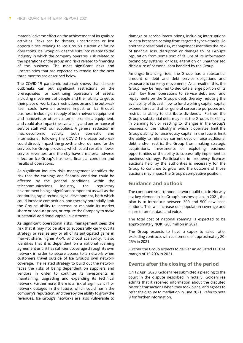material adverse effect on the achievement of its goals or activities. Risks can be threats, uncertainties or lost opportunities relating to Ice Group's current or future operations. Ice Group divides the risks into related to the industry in which the company operates, risk related to the operations of the group and risks related to financing of the business. The most significant risks and uncertainties that are expected to remain for the next three months are described below.

The COVID-19 pandemic outbreak shows that disease outbreaks can put significant restrictions on the prerequisites for continuing operations of assets, including movement of people and their ability to get to their place of work. Such restrictions on and the outbreak itself could have an adverse impact on Ice Group's business, including on supply of both network equipment and handsets or other customer premises, equipment, and could also impact the availability and performance of service staff with our suppliers. A general reduction in macroeconomic activity, both domestic and international, following the COVID-19 disease outbreak could directly impact the growth and/or demand for the services Ice Group provides, which could result in lower service revenues, and thereby have a material adverse effect on Ice Group's business, financial condition and results of operations.

As significant industry risks management identifies the risk that the earnings and financial condition could be affected by the general conditions within the telecommunications industry, the regulatory environment being a significant component as well as the continuing rapid technological development, both which could increase competition, and thereby potentially limit the Groups' ability to increase or maintain its market share or product prices, or require the Company to make substantial additional capital investments.

As significant operational risks, management sees the risk that it may not be able to successfully carry out its strategy or realise any or all of its anticipated gains in market share, higher ARPU and cost scalability. It also identifies that it is dependent on a national roaming agreement until it has sufficient coverage through its own network in order to secure access to a network when customers travel outside of Ice Group's own network coverage. The related strategy to build out the network faces the risks of being dependent on suppliers and vendors in order to continue its investments in maintaining, upgrading and expanding its technical network. Furthermore, there is a risk of significant IT or network outages in the future, which could harm the company's reputation, and thereby the ability to grow the revenues. Ice Group's networks are also vulnerable to

damage or service interruptions, including interruptions or data breaches coming from targeted cyber-attacks. As another operational risk, management identifies the risk of financial loss, disruption or damage to Ice Group's reputation from some sort of failure of its information technology systems, or loss, alteration or unauthorised disclosure of personal data handled by the Group.

Amongst financing risks, the Group has a substantial amount of debt and debt service obligations and exposure to currency movements. As a result of this, the Group may be required to dedicate a large portion of its cash flow from operations to service debt and fund repayments on the Group's debt, thereby reducing the availability of its cash flow to fund working capital, capital expenditures and other general corporate purposes and restrict its ability to distribute dividends. Further, the Group's substantial debt may limit the Group's flexibility in planning for, or reacting to, changes in the Group's business or the industry in which it operates, limit the Group's ability to raise equity capital in the future, limit the ability to refinance current debt or raise additional debt and/or restrict the Group from making strategic acquisitions, investments or exploiting business opportunities or the ability to successfully implement its business strategy. Participation in frequency licences auctions held by the authorities is necessary for the Group to continue to grow, and the outcome of those auctions may impact the Group's competitive position.

#### **Guidance and outlook**

The continued smartphone network build-out in Norway is a key element in Ice Group's business plan. In 2021, the plan is to introduce between 300 and 500 new base stations. This will increase our population coverage and share of on-net data and voice.

The total cost of national roaming is expected to be approximately NOK ~200 million in 2021.

The Group expects to have a capex to sales ratio, excluding contracts with customers. of approximately 20- 25% in 2021.

Further the Group expects to deliver an adjusted EBITDA margin of 15-20% in 2021.

#### **Events after the closing of the period**

On 12 April 2020, GoldenTree submitted a pleading to the court in the dispute described in note 8. GoldenTree admits that it received information about the disputed historic transactions when they took place, and agrees to refer the dispute to mediation in June 2021. Refer to note 9 for further information.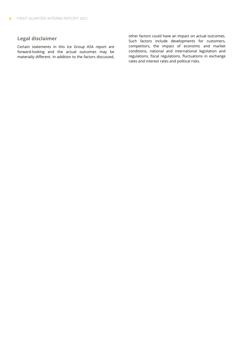#### **Legal disclaimer**

Certain statements in this Ice Group ASA report are forward-looking and the actual outcomes may be materially different. In addition to the factors discussed, other factors could have an impact on actual outcomes. Such factors include developments for customers, competitors, the impact of economic and market conditions, national and international legislation and regulations, fiscal regulations, fluctuations in exchange rates and interest rates and political risks.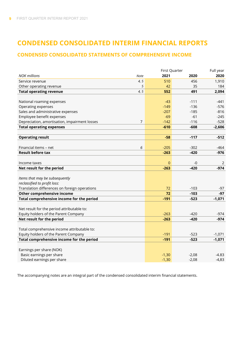# **CONDENSED CONSOLIDATED INTERIM FINANCIAL REPORTS**

#### **CONDENSED CONSOLIDATED STATEMENTS OF COMPREHENSIVE INCOME**

|                                               |      | First Quarter  |         | Full year |
|-----------------------------------------------|------|----------------|---------|-----------|
| <b>NOK millions</b><br><b>Note</b>            |      | 2021           | 2020    | 2020      |
| Service revenue                               | 4, 5 | 510            | 456     | 1,910     |
| Other operating revenue                       | 5    | 42             | 35      | 184       |
| <b>Total operating revenue</b>                | 4, 5 | 552            | 491     | 2,094     |
|                                               |      |                |         |           |
| National roaming expenses                     |      | $-43$          | $-111$  | -441      |
| Operating expenses                            |      | $-149$         | $-136$  | $-576$    |
| Sales and administrative expenses             |      | $-207$         | $-185$  | $-816$    |
| Employee benefit expenses                     |      | $-69$          | $-61$   | $-245$    |
| Depreciation, amortisation, impairment losses | 7    | $-142$         | $-116$  | $-528$    |
| <b>Total operating expenses</b>               |      | $-610$         | $-608$  | $-2,606$  |
|                                               |      |                |         |           |
| <b>Operating result</b>                       |      | $-58$          | $-117$  | $-512$    |
|                                               |      |                |         |           |
| Financial items - net                         | 6    | $-205$         | $-302$  | $-464$    |
| <b>Result before tax</b>                      |      | $-263$         | $-420$  | $-976$    |
|                                               |      |                |         |           |
| Income taxes                                  |      | $\overline{0}$ | -0      | 2         |
| Net result for the period                     |      | $-263$         | $-420$  | $-974$    |
|                                               |      |                |         |           |
| Items that may be subsequently                |      |                |         |           |
| reclassified to profit loss:                  |      |                |         |           |
| Translation differences on foreign operations |      | 72             | $-103$  | $-97$     |
| Other comprehensive income                    |      | 72             | $-103$  | $-97$     |
| Total comprehensive income for the period     |      | $-191$         | $-523$  | $-1,071$  |
|                                               |      |                |         |           |
| Net result for the period attributable to:    |      |                |         |           |
| Equity holders of the Parent Company          |      | $-263$         | $-420$  | $-974$    |
| Net result for the period                     |      | $-263$         | $-420$  | $-974$    |
|                                               |      |                |         |           |
| Total comprehensive income attributable to:   |      |                |         |           |
| Equity holders of the Parent Company          |      | $-191$         | $-523$  | $-1,071$  |
| Total comprehensive income for the period     |      | $-191$         | $-523$  | $-1,071$  |
|                                               |      |                |         |           |
| Earnings per share (NOK)                      |      |                |         |           |
| Basic earnings per share                      |      | $-1,30$        | $-2,08$ | $-4.83$   |
| Diluted earnings per share                    |      | $-1,30$        | $-2,08$ | $-4,83$   |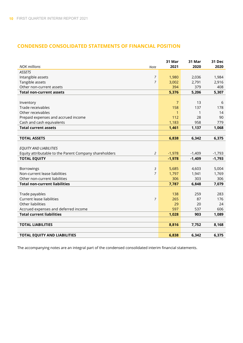#### **CONDENSED CONSOLIDATED STATEMENTS OF FINANCIAL POSITION**

| <b>NOK millions</b><br>Note                            |                | 31 Mar<br>2021 | 31 Mar<br>2020 | 31 Dec<br>2020 |
|--------------------------------------------------------|----------------|----------------|----------------|----------------|
| <b>ASSETS</b>                                          |                |                |                |                |
| Intangible assets                                      | 7              | 1,980          | 2,036          | 1,984          |
| Tangible assets                                        | $\overline{7}$ | 3,002          | 2,791          | 2,916          |
| Other non-current assets                               |                | 394            | 379            | 408            |
| <b>Total non-current assets</b>                        |                | 5,376          | 5,206          | 5,307          |
|                                                        |                |                |                |                |
| Inventory                                              |                | 7              | 13             | 6              |
| Trade receivables                                      |                | 158            | 137            | 178            |
| Other receivables                                      |                | 1              | 1              | 14             |
| Prepaid expenses and accrued income                    |                | 112            | 28             | 90             |
| Cash and cash equivalents                              |                | 1,183          | 958            | 779            |
| <b>Total current assets</b>                            |                | 1,461          | 1,137          | 1,068          |
|                                                        |                |                |                |                |
| <b>TOTAL ASSETS</b>                                    |                | 6,838          | 6,342          | 6,375          |
|                                                        |                |                |                |                |
| EQUITY AND LIABILITIES                                 |                |                |                |                |
| Equity attributable to the Parent Company shareholders | 2              | $-1,978$       | $-1,409$       | $-1,793$       |
| <b>TOTAL EQUITY</b>                                    |                | $-1,978$       | $-1,409$       | $-1,793$       |
|                                                        |                |                |                |                |
| Borrowings                                             | 3              | 5,685          | 4,603          | 5,004          |
| Non-current lease liabilities                          | $\overline{7}$ | 1,797          | 1,941          | 1,769          |
| Other non-current liabilities                          |                | 306            | 303            | 306            |
| <b>Total non-current liabilities</b>                   |                | 7,787          | 6,848          | 7,079          |
|                                                        |                |                |                |                |
| Trade payables                                         |                | 138            | 259            | 283            |
| Current lease liabilities                              | $\overline{7}$ | 265            | 87             | 176            |
| Other liabilities                                      |                | 29             | 20             | 24             |
| Accrued expenses and deferred income                   |                | 597            | 537            | 606            |
| <b>Total current liabilities</b>                       |                | 1,028          | 903            | 1,089          |
|                                                        |                |                |                |                |
| <b>TOTAL LIABILITIES</b>                               |                | 8,816          | 7,752          | 8,168          |
|                                                        |                |                |                |                |
| <b>TOTAL EQUITY AND LIABILITIES</b>                    |                | 6,838          | 6,342          | 6,375          |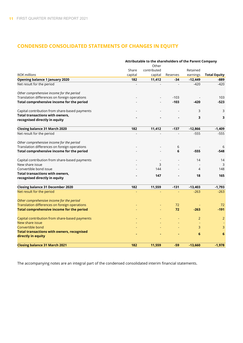#### **CONDENSED CONSOLIDATED STATEMENTS OF CHANGES IN EQUITY**

|                                                   | Attributable to the shareholders of the Parent Company |             |          |                |                     |  |  |
|---------------------------------------------------|--------------------------------------------------------|-------------|----------|----------------|---------------------|--|--|
|                                                   |                                                        | Other       |          |                |                     |  |  |
|                                                   | Share                                                  | contributed |          | Retained       |                     |  |  |
| <b>NOK millions</b>                               | capital                                                | capital     | Reserves | earnings       | <b>Total Equity</b> |  |  |
| Opening balance 1 January 2020                    | 182                                                    | 11,412      | -34      | $-12,449$      | -889                |  |  |
| Net result for the period                         |                                                        |             |          | $-420$         | $-420$              |  |  |
| Other comprehensive income for the period         |                                                        |             |          |                |                     |  |  |
| Translation differences on foreign operations     |                                                        |             | $-103$   |                | 103                 |  |  |
| Total comprehensive income for the period         |                                                        |             | $-103$   | $-420$         | $-523$              |  |  |
| Capital contribution from share-based payments    |                                                        |             |          | 3              | 3                   |  |  |
| <b>Total transactions with owners,</b>            |                                                        |             |          | 3              | 3                   |  |  |
| recognised directly in equity                     |                                                        |             |          |                |                     |  |  |
| <b>Closing balance 31 March 2020</b>              | 182                                                    | 11,412      | $-137$   | $-12,866$      | $-1,409$            |  |  |
| Net result for the period                         |                                                        |             |          | $-555$         | $-555$              |  |  |
| Other comprehensive income for the period         |                                                        |             |          |                |                     |  |  |
| Translation differences on foreign operations     |                                                        |             | 6        |                | 6                   |  |  |
| Total comprehensive income for the period         |                                                        |             | 6        | $-555$         | $-548$              |  |  |
| Capital contribution from share-based payments    |                                                        |             |          | 14             | 14                  |  |  |
| New share issue                                   |                                                        | 3           |          |                | 3                   |  |  |
| Convertible bond issue                            |                                                        | 144         |          | 4              | 148                 |  |  |
| <b>Total transactions with owners,</b>            |                                                        | 147         |          | 18             | 165                 |  |  |
| recognised directly in equity                     |                                                        |             |          |                |                     |  |  |
| <b>Closing balance 31 December 2020</b>           | 182                                                    | 11,559      | $-131$   | $-13,403$      | $-1,793$            |  |  |
| Net result for the period                         |                                                        |             |          | $-263$         | $-263$              |  |  |
| Other comprehensive income for the period         |                                                        |             |          |                |                     |  |  |
| Translation differences on foreign operations     |                                                        |             | 72       |                | 72                  |  |  |
| Total comprehensive income for the period         |                                                        |             | 72       | $-263$         | $-191$              |  |  |
| Capital contribution from share-based payments    |                                                        |             |          | $\overline{2}$ | $\overline{2}$      |  |  |
| New share issue                                   |                                                        |             |          |                |                     |  |  |
| Convertible bond                                  |                                                        |             |          | 3              | 3                   |  |  |
| <b>Total transactions with owners, recognised</b> |                                                        |             |          | 6              | 6                   |  |  |
| directly in equity                                |                                                        |             |          |                |                     |  |  |
| <b>Closing balance 31 March 2021</b>              | 182                                                    | 11,559      | -59      | $-13.660$      | $-1,978$            |  |  |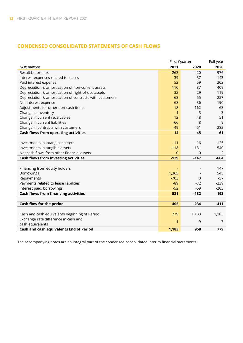#### **CONDENSED CONSOLIDATED STATEMENTS OF CASH FLOWS**

|                                                         | First Quarter |        | Full year |
|---------------------------------------------------------|---------------|--------|-----------|
| <b>NOK millions</b>                                     | 2021          | 2020   | 2020      |
| Result before tax                                       | $-263$        | $-420$ | $-976$    |
| Interest expenses related to leases                     | 39            | 37     | 143       |
| Paid interest expense                                   | 52            | 59     | 202       |
| Depreciation & amortisation of non-current assets       | 110           | 87     | 409       |
| Depreciation & amortisation of right-of-use assets      | 32            | 29     | 119       |
| Depreciation & amortisation of contracts with customers | 63            | 55     | 257       |
| Net interest expense                                    | 68            | 36     | 190       |
| Adjustments for other non-cash items                    | 18            | 162    | $-63$     |
| Change in inventory                                     | $-1$          | $-3$   | 3         |
| Change in current receivables                           | 12            | 48     | 51        |
| Change in current liabilities                           | $-66$         | 8      | 9         |
| Change in contracts with customers                      | $-49$         | $-51$  | $-282$    |
| Cash flows from operating activities                    | 14            | 45     | 61        |
|                                                         |               |        |           |
| Investments in intangible assets                        | $-11$         | $-16$  | $-125$    |
| Investments in tangible assets                          | $-118$        | $-131$ | $-540$    |
| Net cash flows from other financial assets              | $-0$          | 0      | 2         |
| <b>Cash flows from investing activities</b>             | $-129$        | $-147$ | $-664$    |
|                                                         |               |        |           |
| Financing from equity holders                           |               |        | 147       |
| Borrowings                                              | 1,365         |        | 545       |
| Repayments                                              | $-703$        | 0      | $-57$     |
| Payments related to lease liabilities                   | $-89$         | $-72$  | $-239$    |
| Interest paid, borrowings                               | $-52$         | $-59$  | $-203$    |
| <b>Cash flows from financing activities</b>             | 521           | $-132$ | 193       |
|                                                         |               |        |           |
| Cash flow for the period                                | 405           | $-234$ | $-411$    |
|                                                         |               |        |           |
| Cash and cash equivalents Beginning of Period           | 779           | 1,183  | 1,183     |
| Exchange rate difference in cash and                    | $-1$          | 9      | 7         |
| cash equivalents                                        |               |        |           |
| Cash and cash equivalents End of Period                 | 1,183         | 958    | 779       |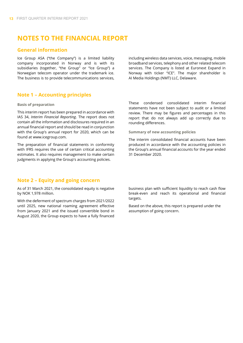## **NOTES TO THE FINANCIAL REPORT**

#### **General information**

Ice Group ASA ("the Company") is a limited liability company incorporated in Norway and is with its subsidiaries (together, "the Group" or "Ice Group") a Norwegian telecom operator under the trademark ice. The business is to provide telecommunications services,

including wireless data services, voice, messaging, mobile broadband services, telephony and other related telecom services. The Company is listed at Euronext Expand in Norway with ticker "ICE". The major shareholder is AI Media Holdings (NMT) LLC, Delaware.

#### **Note 1 – Accounting principles**

#### **Basis of preparation**

This interim report has been prepared in accordance with IAS 34, *Interim Financial Reporting*. The report does not contain all the information and disclosures required in an annual financial report and should be read in conjunction with the Group's annual report for 2020, which can be found at www.icegroup.com.

The preparation of financial statements in conformity with IFRS requires the use of certain critical accounting estimates. It also requires management to make certain judgments in applying the Group's accounting policies.

These condensed consolidated interim financial statements have not been subject to audit or a limited review. There may be figures and percentages in this report that do not always add up correctly due to rounding differences.

**Summary of new accounting policies**

The interim consolidated financial accounts have been produced in accordance with the accounting policies in the Group's annual financial accounts for the year ended 31 December 2020.

#### **Note 2 – Equity and going concern**

As of 31 March 2021, the consolidated equity is negative by NOK 1,978 million.

With the deferment of spectrum charges from 2021/2022 until 2025, new national roaming agreement effective from January 2021 and the issued convertible bond in August 2020, the Group expects to have a fully financed business plan with sufficient liquidity to reach cash flow break-even and reach its operational and financial targets.

Based on the above, this report is prepared under the assumption of going concern.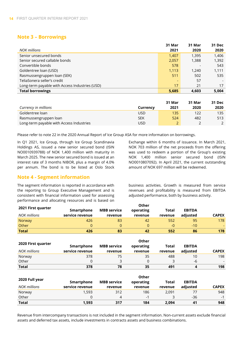#### **Note 3 – Borrowings**

|                                                | 31 Mar | 31 Mar | 31 Dec |
|------------------------------------------------|--------|--------|--------|
| <b>NOK</b> millions                            | 2021   | 2020   | 2020   |
| Senior unsecured bonds                         | 1,407  | 1,395  | 1,406  |
| Senior secured callable bonds                  | 2,057  | 1,388  | 1,392  |
| Convertible bonds                              | 578    |        | 543    |
| Goldentree loan (USD)                          | 1,113  | 1.240  | 1,111  |
| Rasmussengruppen loan (SEK)                    | 511    | 502    | 535    |
| TeliaSonera seller's credit                    |        | 57     |        |
| Long-term payable with Access Industries (USD) | 17     | 21     | 17     |
| <b>Total borrowings</b>                        | 5,685  | 4.603  | 5.004  |

|                                          |            | 31 Mar | 31 Mar | 31 Dec |
|------------------------------------------|------------|--------|--------|--------|
| Currency in millions                     | Currency   | 2021   | 2020   | 2020   |
| Goldentree loan                          | <b>USD</b> | 135    | 122    | 135    |
| Rasmussengruppen loan                    | SEK        | 524    | 482    | 513    |
| Long-term payable with Access Industries | USD        |        |        |        |

Please refer to note 22 in the 2020 Annual Report of Ice Group ASA for more information on borrowings.

In Q1 2021, Ice Group, through Ice Group Scandinavia Holdings AS, issued a new senior secured bond (ISIN NO0010939788) of NOK 1,400 million with maturity in March 2025. The new senior secured bond is issued at an interest rate of 3 months NIBOR, plus a margin of 4.0% per annum. The bond is to be listed at Oslo Stock

Exchange within 6 months of issuance. In March 2021, NOK 703 million of the net proceeds from the offering was used to redeem a portion of the Group's existing NOK 1,400 million senior secured bond (ISIN NO0010807092). In April 2021, the current outstanding amount of NOK 697 million will be redeemed.

#### **Note 4 - Segment information**

The segment information is reported in accordance with the reporting to Group Executive Management and is consistent with financial information used for assessing performance and allocating resources and is based on

business activities. Growth is measured from service revenues and profitability is measured from EBITDA adjusted performance, both by business activity.

|                     | Other           |                    |           |         |               |              |  |  |
|---------------------|-----------------|--------------------|-----------|---------|---------------|--------------|--|--|
| 2021 First quarter  | Smartphone      | <b>MBB</b> service | operating | Total   | <b>EBITDA</b> |              |  |  |
| <b>NOK millions</b> | service revenue | revenue            | revenue   | revenue | adiusted      | <b>CAPEX</b> |  |  |
| Norway              | 426             | 83                 | 42        | 552     | 95            | 178          |  |  |
| Other               | 0               |                    |           | -0      | $-10$         |              |  |  |
| <b>Total</b>        | 426             | 83                 | 42        | 552     | 86            | 178          |  |  |

|                    | Other           |                    |           |         |               |                          |  |
|--------------------|-----------------|--------------------|-----------|---------|---------------|--------------------------|--|
| 2020 First quarter | Smartphone      | <b>MBB</b> service | operating | Total   | <b>EBITDA</b> |                          |  |
| NOK millions       | service revenue | revenue            | revenue   | revenue | adjusted      | <b>CAPEX</b>             |  |
| Norway             | 378             | 75                 | 35        | 488     | 10            | 198                      |  |
| Other              | 0               |                    |           |         | -6            | $\overline{\phantom{0}}$ |  |
| <b>Total</b>       | 378             | 78                 | 35        | 491     |               | 198                      |  |

|                     | Other           |                    |           |         |               |              |  |
|---------------------|-----------------|--------------------|-----------|---------|---------------|--------------|--|
| 2020 Full year      | Smartphone      | <b>MBB</b> service | operating | Total   | <b>EBITDA</b> |              |  |
| <b>NOK</b> millions | service revenue | revenue            | revenue   | revenue | adjusted      | <b>CAPEX</b> |  |
| Norway              | 1.593           | 312                | 186       | 2.091   |               | 948          |  |
| Other               | 0               |                    | -1        |         | $-36$         | $-1$         |  |
| <b>Total</b>        | 1,593           | 317                | 184       | 2.094   | 41            | 948          |  |

Revenue from intercompany transactions is not included in the segment information. Non-current assets exclude financial assets and deferred tax assets, include investments in contracts assets and business combinations.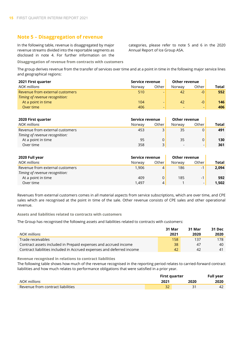#### **Note 5 – Disaggregation of revenue**

In the following table, revenue is disaggregated by major revenue streams divided into the reportable segments as disclosed in note 4. For further information on the categories, please refer to note 5 and 6 in the 2020 Annual Report of Ice Group ASA.

**Disaggregation of revenue from contracts with customers**

The group derives revenue from the transfer of services over time and at a point in time in the following major service lines and geographical regions:

| 2021 First quarter              | Service revenue |                          | <b>Other revenue</b> |       |       |
|---------------------------------|-----------------|--------------------------|----------------------|-------|-------|
| <b>NOK</b> millions             | Norway          | Other                    | Norway               | Other | Total |
| Revenue from external customers | 510             | $\overline{\phantom{0}}$ | 42                   | $-0$  | 552   |
| Timing of revenue recognition:  |                 |                          |                      |       |       |
| At a point in time              | 104             | $\overline{\phantom{0}}$ | 42                   | $-0$  | 146   |
| Over time                       | 406             | $\overline{\phantom{0}}$ |                      |       | 406   |

| 2020 First quarter              | Service revenue |       | Other revenue |       |       |
|---------------------------------|-----------------|-------|---------------|-------|-------|
| <b>NOK</b> millions             | Norway          | Other | Norway        | Other | Total |
| Revenue from external customers | 453             | 3     | 35            |       | 491   |
| Timing of revenue recognition:  |                 |       |               |       |       |
| At a point in time              | 95              |       | 35            |       | 130   |
| Over time                       | 358             | 3     |               | -     | 361   |

| 2020 Full year                  | Service revenue |       | <b>Other revenue</b> |       |       |
|---------------------------------|-----------------|-------|----------------------|-------|-------|
| <b>NOK</b> millions             | Norway          | Other | Norway               | Other | Total |
| Revenue from external customers | 1.906           | 4     | 186                  | $-1$  | 2,094 |
| Timing of revenue recognition:  |                 |       |                      |       |       |
| At a point in time              | 409             |       | 185                  | - 1   | 592   |
| Over time                       | 1.497           | 4     |                      | -     | 1.502 |

Revenues from external customers comes in all material aspects from service subscriptions, which are over time, and CPE sales which are recognised at the point in time of the sale. Other revenue consists of CPE sales and other operational revenue.

**Assets and liabilities related to contracts with customers**

The Group has recognised the following assets and liabilities related to contracts with customers:

|                                                                       | 31 Mar | 31 Mar   | 31 Dec |
|-----------------------------------------------------------------------|--------|----------|--------|
| NOK millions                                                          | 2021   | 2020     | 2020   |
| Trade receivables                                                     | 158    | 137      | 178.   |
| Contract assets included in Prepaid expenses and accrued income       | 38     | 47       | 40     |
| Contract liabilities included in Accrued expenses and deferred income | 42     | $\Delta$ |        |

**Revenue recognised in relations to contract liabilities**

The following table shows how much of the revenue recognised in the reporting period relates to carried-forward contract liabilities and how much relates to performance obligations that were satisfied in a prior year.

|                                                                 | First quarter |      | <b>Full year</b> |
|-----------------------------------------------------------------|---------------|------|------------------|
| NOK millions                                                    | 2021          | 2020 | 2020             |
| $\blacksquare$ Revenue from contract liabilities $\blacksquare$ | ےد            |      |                  |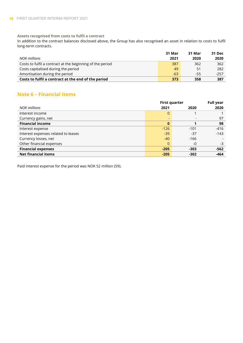**Assets recognised from costs to fulfil a contract**

In addition to the contract balances disclosed above, the Group has also recognised an asset in relation to costs to fulfil long-term contracts.

|                                                           | 31 Mar | 31 Mar | 31 Dec |
|-----------------------------------------------------------|--------|--------|--------|
| NOK millions                                              | 2021   | 2020   | 2020   |
| Costs to fulfil a contract at the beginning of the period | 387    | 362    | 362    |
| Costs capitalised during the period                       | 49     | 51     | 282    |
| Amortisation during the period                            | $-63$  | -55    | $-257$ |
| Costs to fulfil a contract at the end of the period       | 373    | 358    | 387    |

### **Note 6 – Financial items**

|                                     | <b>First quarter</b> |        | <b>Full year</b> |
|-------------------------------------|----------------------|--------|------------------|
| NOK millions                        | 2021                 | 2020   | 2020             |
| Interest income                     | 0                    |        |                  |
| Currency gains, net                 | ٠                    |        | 97               |
| <b>Financial income</b>             | $\bf{0}$             |        | 98               |
| Interest expense                    | $-126$               | $-101$ | $-416$           |
| Interest expenses related to leases | $-39$                | $-37$  | $-143$           |
| Currency losses, net                | $-40$                | $-166$ |                  |
| Other financial expenses            | 0                    | $-0$   | -3               |
| <b>Financial expenses</b>           | $-205$               | $-303$ | $-562$           |
| <b>Net financial items</b>          | $-205$               | $-302$ | $-464$           |

Paid interest expense for the period was NOK 52 million (59).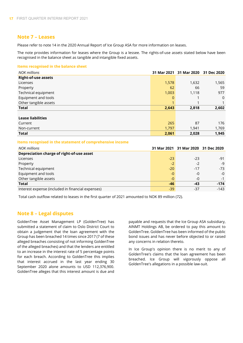#### **Note 7 – Leases**

Please refer to note 14 in the 2020 Annual Report of Ice Group ASA for more information on leases.

The note provides information for leases where the Group is a lessee. The rights-of-use assets stated below have been recognised in the balance sheet as tangible and intangible fixed assets.

#### **Items recognised in the balance sheet**

| <b>NOK</b> millions        |       | 31 Mar 2021 31 Mar 2020 31 Dec 2020 |                |
|----------------------------|-------|-------------------------------------|----------------|
| <b>Right-of-use assets</b> |       |                                     |                |
| Licenses                   | 1,578 | 1,632                               | 1,565          |
| Property                   | 62    | 66                                  | 59             |
| Technical equipment        | 1,003 | 1,118                               | 977            |
| Equipment and tools        | 0     |                                     | $\overline{0}$ |
| Other tangible assets      |       |                                     |                |
| <b>Total</b>               | 2,643 | 2,818                               | 2,602          |
|                            |       |                                     |                |
| <b>Lease liabilities</b>   |       |                                     |                |
| Current                    | 265   | 87                                  | 176            |
| Non-current                | 1,797 | 1,941                               | 1,769          |
| <b>Total</b>               | 2,061 | 2,028                               | 1,945          |

#### **Items recognised in the statement of comprehensive income**

| <b>NOK</b> millions                               |       | 31 Mar 2021 31 Mar 2020 31 Dec 2020 |        |
|---------------------------------------------------|-------|-------------------------------------|--------|
| Depreciation charge of right-of-use asset         |       |                                     |        |
| Licenses                                          | $-23$ | $-23$                               | $-91$  |
| Property                                          | $-2$  | $-2$                                | -9     |
| Technical equipment                               | $-20$ | $-17$                               | $-73$  |
| Equipment and tools                               | $-0$  | $-0$                                | $-0$   |
| Other tangible assets                             | $-0$  | $-0$                                | $-1$   |
| <b>Total</b>                                      | -46   | -43                                 | $-174$ |
| Interest expense (included in financial expenses) | $-39$ | $-37$                               | $-143$ |

Total cash outflow related to leases in the first quarter of 2021 amounted to NOK 89 million (72).

#### **Note 8 – Legal disputes**

GoldenTree Asset Management LP (GoldenTree) has submitted a statement of claim to Oslo District Court to obtain a judgement that the loan agreement with the Group has been breached 14 times since 2017 (7 of these alleged breaches consisting of not informing GoldenTree of the alleged breaches) and that the lenders are entitled to an increase in the interest rate of 5 percentage points for each breach. According to GoldenTree this implies that interest accrued in the last year ending 30 September 2020 alone amounts to USD 112,376,900. GoldenTree alleges that this interest amount is due and

payable and requests that the Ice Group ASA subsidiary, AINMT Holdings AB, be ordered to pay this amount to GoldenTree. GoldenTree has been informed of the public bond issues and has never before objected to or raised any concerns in relation thereto.

In Ice Group's opinion there is no merit to any of GoldenTree's claims that the loan agreement has been breached. Ice Group will vigorously oppose all GoldenTree's allegations in a possible law-suit.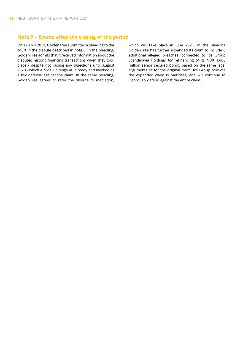#### **Note 9 – Events after the closing of the period**

On 12 April 2021, GoldenTree submitted a pleading to the court in the dispute described in note 8. In the pleading, GoldenTree admits that it received information about the disputed historic financing transactions when they took place - despite not raising any objections until August 2020 - which AINMT Holdings AB already had invoked as a key defense against the claim. In the same pleading, GoldenTree agrees to refer the dispute to mediation,

which will take place in June 2021. In the pleading GoldenTree has further expanded its claim to include 6 additional alleged breaches (connected to Ice Group Scandinavia Holdings AS' refinancing of its NOK 1,400 million senior secured bond), based on the same legal arguments as for the original claim. Ice Group believes the expanded claim is meritless, and will continue to vigorously defend against the entire claim.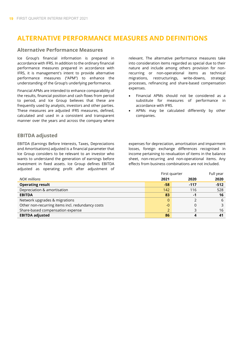# **ALTERNATIVE PERFORMANCE MEASURES AND DEFINITIONS**

#### **Alternative Performance Measures**

Ice Group's financial information is prepared in accordance with IFRS. In addition to the ordinary financial performance measures prepared in accordance with IFRS, it is management's intent to provide alternative performance measures ("APM") to enhance the understanding of the Group's underlying performance.

Financial APMs are intended to enhance comparability of the results, financial position and cash flows from period to period, and Ice Group believes that these are frequently used by analysts, investors and other parties. These measures are adjusted IFRS measures, defined, calculated and used in a consistent and transparent manner over the years and across the company where

#### **EBITDA adjusted**

EBITDA (Earnings Before Interests, Taxes, Depreciations and Amortisations) adjusted is a financial parameter that Ice Group considers to be relevant to an investor who wants to understand the generation of earnings before investment in fixed assets. Ice Group defines EBITDA adjusted as operating profit after adjustment of

relevant. The alternative performance measures take into consideration items regarded as special due to their nature and include among others provision for nonrecurring or non-operational items as technical migrations, restructurings, write-downs, strategic processes, refinancing and share-based compensation expenses.

- Financial APMs should not be considered as a substitute for measures of performance in accordance with IFRS.
- APMs may be calculated differently by other companies.

expenses for depreciation, amortisation and impairment losses, foreign exchange differences recognised in income pertaining to revaluation of items in the balance sheet, non-recurring and non-operational items. Any effects from business combinations are not included.

|                                                  | First quarter |        | Full year |
|--------------------------------------------------|---------------|--------|-----------|
| NOK millions                                     | 2021          | 2020   | 2020      |
| <b>Operating result</b>                          | $-58$         | $-117$ | $-512$    |
| Depreciation & amortisation                      | 142           | 116    | 528       |
| <b>EBITDA</b>                                    | 83            | -1     | 16        |
| Network upgrades & migrations                    | 0             |        | 6         |
| Other non-recurring items incl. redundancy costs | $-0$          |        |           |
| Share-based compensation expense                 |               |        | 16        |
| <b>EBITDA adjusted</b>                           | 86            |        |           |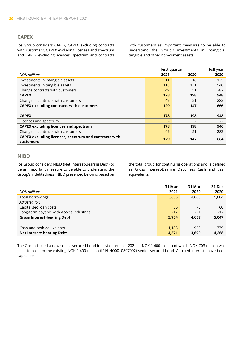#### **CAPEX**

Ice Group considers CAPEX, CAPEX excluding contracts with customers, CAPEX excluding licenses and spectrum and CAPEX excluding licences, spectrum and contracts with customers as important measures to be able to understand the Group's investments in intangible, tangible and other non-current assets.

|                                                       | First quarter |       | Full year |
|-------------------------------------------------------|---------------|-------|-----------|
| <b>NOK</b> millions                                   | 2021          | 2020  | 2020      |
| Investments in intangible assets                      | 11            | 16    | 125       |
| Investments in tangible assets                        | 118           | 131   | 540       |
| Change contracts with customers                       | 49            | 51    | 282       |
| <b>CAPEX</b>                                          | 178           | 198   | 948       |
| Change in contracts with customers                    | $-49$         | $-51$ | $-282$    |
| <b>CAPEX excluding contracts with customers</b>       | 129           | 147   | 666       |
|                                                       |               |       |           |
| <b>CAPEX</b>                                          | 178           | 198   | 948       |
| Licences and spectrum                                 |               |       | $-2$      |
| <b>CAPEX excluding licences and spectrum</b>          | 178           | 198   | 946       |
| Change in contracts with customers                    | $-49$         | 51    | $-282$    |
| CAPEX excluding licences, spectrum and contracts with |               |       |           |
| customers                                             | 129           | 147   | 664       |

#### **NIBD**

Ice Group considers NIBD (Net Interest-Bearing Debt) to be an important measure to be able to understand the Group's indebtedness. NIBD presented below is based on

the total group for continuing operations and is defined as Gross Interest-Bearing Debt less Cash and cash equivalents.

|                                          | 31 Mar   | 31 Mar | <b>31 Dec</b> |
|------------------------------------------|----------|--------|---------------|
| <b>NOK</b> millions                      | 2021     | 2020   | 2020          |
| Total borrowings                         | 5,685    | 4,603  | 5,004         |
| Adjusted for:                            |          |        |               |
| Capitalised loan costs                   | 86       | 76     | 60            |
| Long-term payable with Access Industries | $-17$    | $-21$  | $-17$         |
| <b>Gross Interest-bearing Debt</b>       | 5,754    | 4,657  | 5,047         |
|                                          |          |        |               |
| Cash and cash equivalents                | $-1,183$ | $-958$ | $-779$        |
| <b>Net Interest-bearing Debt</b>         | 4,571    | 3,699  | 4,268         |

The Group issued a new senior secured bond in first quarter of 2021 of NOK 1,400 million of which NOK 703 million was used to redeem the existing NOK 1,400 million (ISIN NO0010807092) senior secured bond. Accrued interests have been capitalised.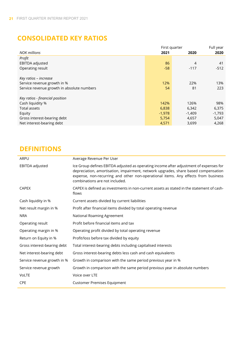# **CONSOLIDATED KEY RATIOS**

|                                            | First quarter |          | Full year |
|--------------------------------------------|---------------|----------|-----------|
| <b>NOK</b> millions                        | 2021          | 2020     | 2020      |
| Profit                                     |               |          |           |
| EBITDA adjusted                            | 86            | 4        | 41        |
| Operating result                           | $-58$         | $-117$   | $-512$    |
|                                            |               |          |           |
| Key ratios - increase                      |               |          |           |
| Service revenue growth in %                | 12%           | 22%      | 13%       |
| Service revenue growth in absolute numbers | 54            | 81       | 223       |
| Key ratios - financial position            |               |          |           |
| Cash liquidity %                           | 142%          | 126%     | 98%       |
| Total assets                               | 6,838         | 6,342    | 6,375     |
| Equity                                     | $-1,978$      | $-1,409$ | $-1,793$  |
| Gross interest-bearing debt                | 5,754         | 4,657    | 5,047     |
| Net interest-bearing debt                  | 4,571         | 3,699    | 4,268     |

# **DEFINITIONS**

| ARPU                        | Average Revenue Per User                                                                                                                                                                                                                                                                            |
|-----------------------------|-----------------------------------------------------------------------------------------------------------------------------------------------------------------------------------------------------------------------------------------------------------------------------------------------------|
| EBITDA adjusted             | Ice Group defines EBITDA adjusted as operating income after adjustment of expenses for<br>depreciation, amortisation, impairment, network upgrades, share based compensation<br>expense, non-recurring and other non-operational items. Any effects from business<br>combinations are not included. |
| <b>CAPEX</b>                | CAPEX is defined as investments in non-current assets as stated in the statement of cash-<br>flows                                                                                                                                                                                                  |
| Cash liquidity in %         | Current assets divided by current liabilities                                                                                                                                                                                                                                                       |
| Net result margin in %      | Profit after financial items divided by total operating revenue                                                                                                                                                                                                                                     |
| <b>NRA</b>                  | National Roaming Agreement                                                                                                                                                                                                                                                                          |
| Operating result            | Profit before financial items and tax                                                                                                                                                                                                                                                               |
| Operating margin in %       | Operating profit divided by total operating revenue                                                                                                                                                                                                                                                 |
| Return on Equity in %       | Profit/loss before tax divided by equity                                                                                                                                                                                                                                                            |
| Gross interest-bearing debt | Total interest-bearing debts including capitalised interests                                                                                                                                                                                                                                        |
| Net interest-bearing debt   | Gross interest-bearing debts less cash and cash equivalents                                                                                                                                                                                                                                         |
| Service revenue growth in % | Growth in comparison with the same period previous year in %                                                                                                                                                                                                                                        |
| Service revenue growth      | Growth in comparison with the same period previous year in absolute numbers                                                                                                                                                                                                                         |
| <b>VoLTE</b>                | Voice over LTE                                                                                                                                                                                                                                                                                      |
| <b>CPE</b>                  | <b>Customer Premises Equipment</b>                                                                                                                                                                                                                                                                  |